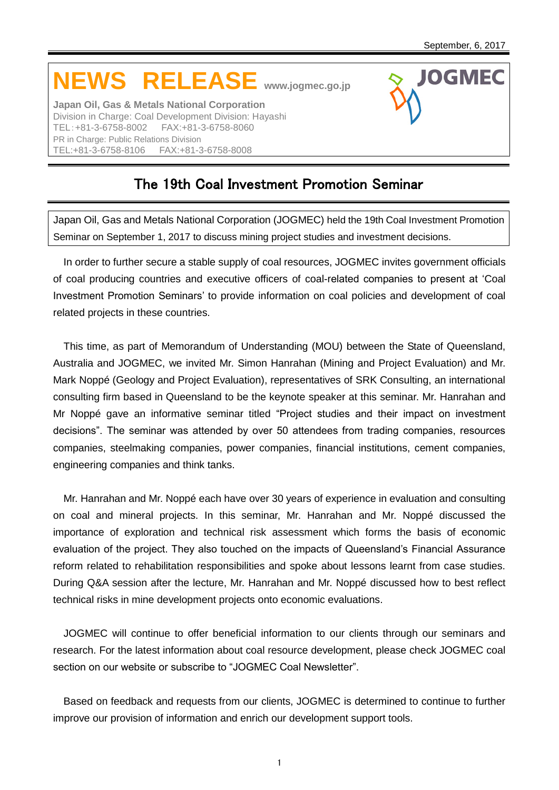**JOGMEC** 

## **NEWS RELEASE www.jogmec.go.jp**

**Japan Oil, Gas & Metals National Corporation** Division in Charge: Coal Development Division: Hayashi TEL:+81-3-6758-8002 FAX:+81-3-6758-8060 PR in Charge: Public Relations Division TEL:+81-3-6758-8106 FAX:+81-3-6758-8008

## The 19th Coal Investment Promotion Seminar

Japan Oil, Gas and Metals National Corporation (JOGMEC) held the 19th Coal Investment Promotion Seminar on September 1, 2017 to discuss mining project studies and investment decisions.

In order to further secure a stable supply of coal resources, JOGMEC invites government officials of coal producing countries and executive officers of coal-related companies to present at 'Coal Investment Promotion Seminars' to provide information on coal policies and development of coal related projects in these countries.

This time, as part of Memorandum of Understanding (MOU) between the State of Queensland, Australia and JOGMEC, we invited Mr. Simon Hanrahan (Mining and Project Evaluation) and Mr. Mark Noppé (Geology and Project Evaluation), representatives of SRK Consulting, an international consulting firm based in Queensland to be the keynote speaker at this seminar. Mr. Hanrahan and Mr Noppé gave an informative seminar titled "Project studies and their impact on investment decisions". The seminar was attended by over 50 attendees from trading companies, resources companies, steelmaking companies, power companies, financial institutions, cement companies, engineering companies and think tanks.

Mr. Hanrahan and Mr. Noppé each have over 30 years of experience in evaluation and consulting on coal and mineral projects. In this seminar, Mr. Hanrahan and Mr. Noppé discussed the importance of exploration and technical risk assessment which forms the basis of economic evaluation of the project. They also touched on the impacts of Queensland's Financial Assurance reform related to rehabilitation responsibilities and spoke about lessons learnt from case studies. During Q&A session after the lecture, Mr. Hanrahan and Mr. Noppé discussed how to best reflect technical risks in mine development projects onto economic evaluations.

JOGMEC will continue to offer beneficial information to our clients through our seminars and research. For the latest information about coal resource development, please check JOGMEC coal section on our website or subscribe to "JOGMEC Coal Newsletter".

Based on feedback and requests from our clients, JOGMEC is determined to continue to further improve our provision of information and enrich our development support tools.